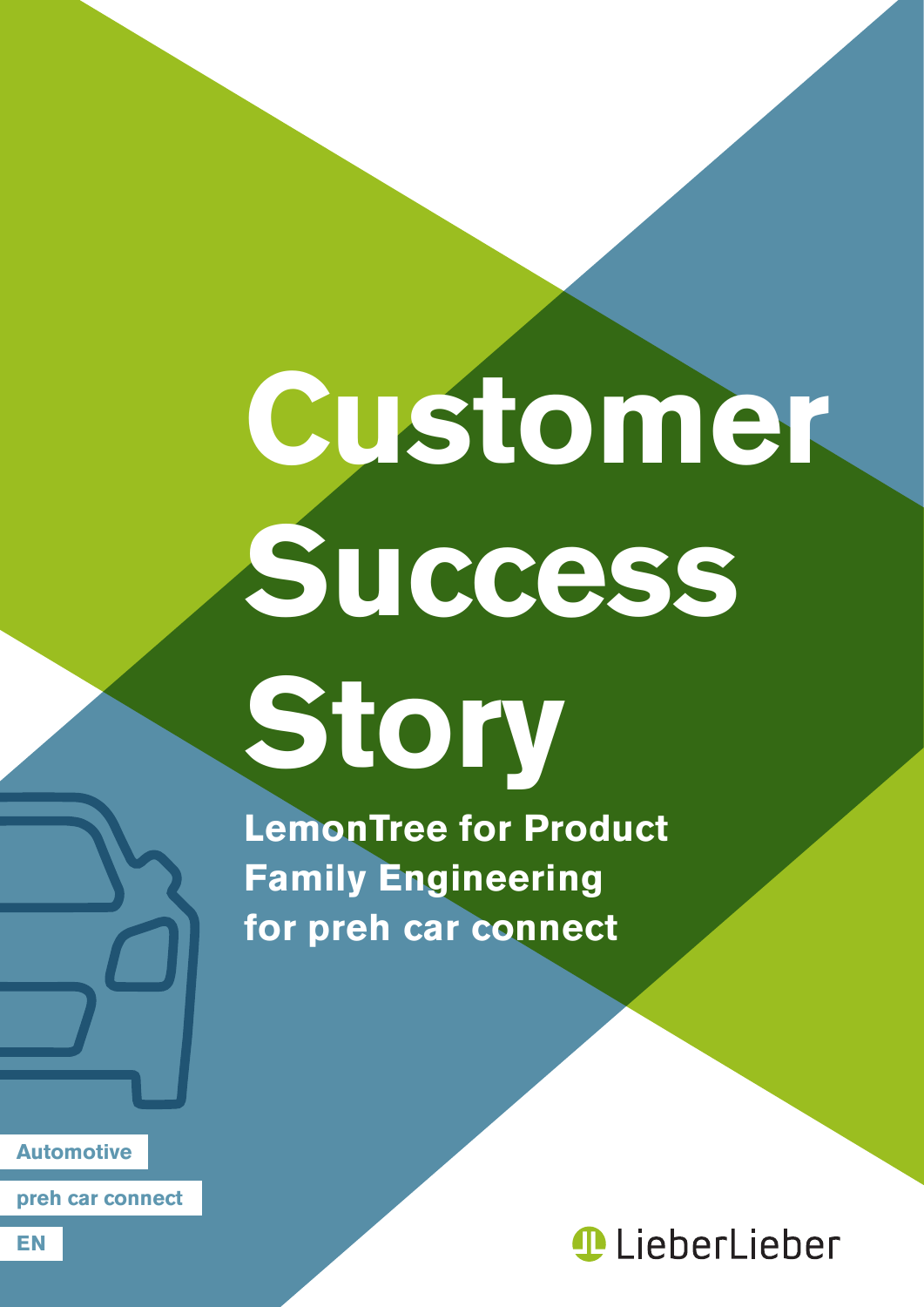# **Customer Success**

**Story**

**LemonTree for Product Family Engineering for preh car connect**

**Automotive**

**preh car connect**

**LieberLieber**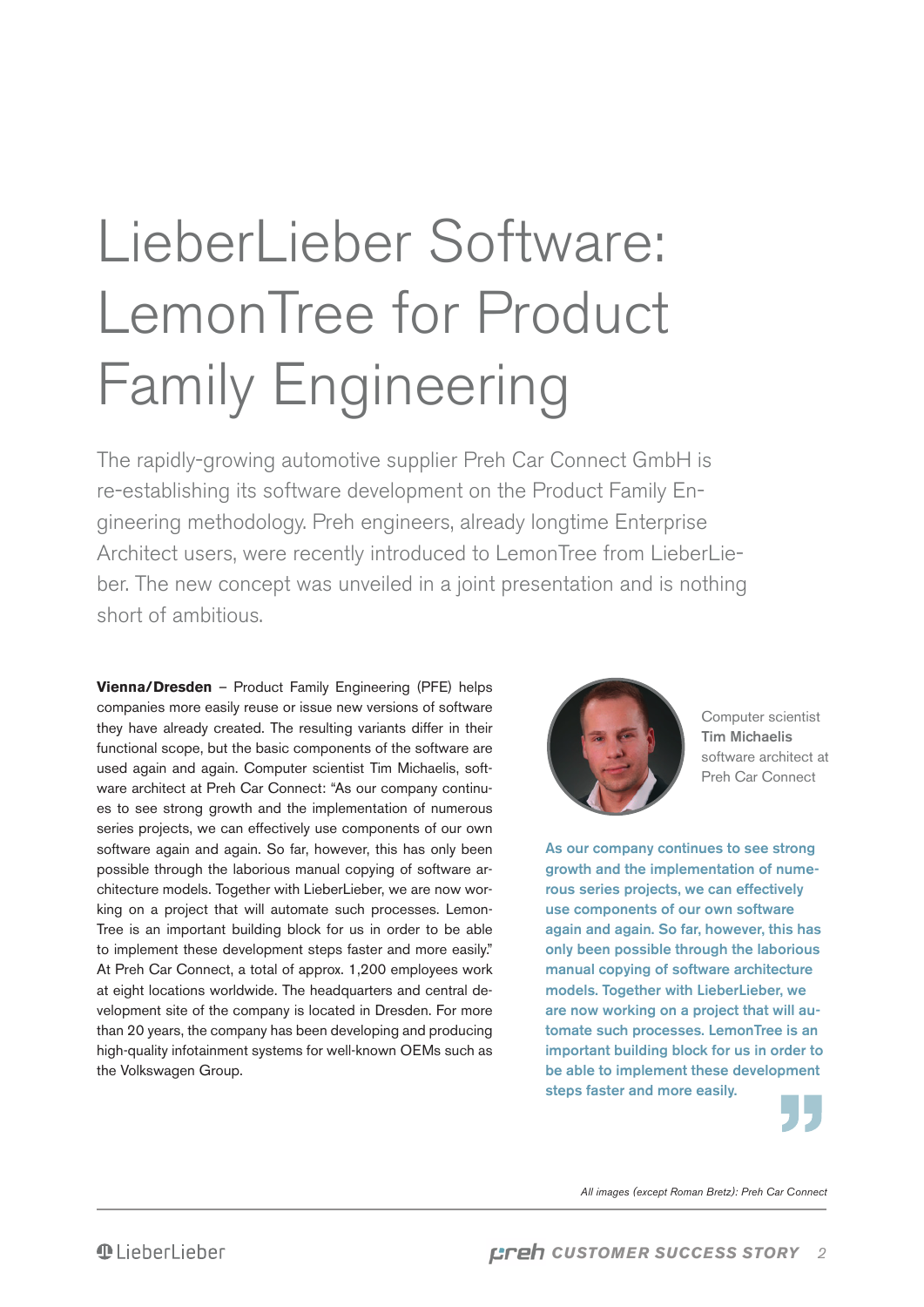## LieberLieber Software: LemonTree for Product Family Engineering

The rapidly-growing automotive supplier Preh Car Connect GmbH is re-establishing its software development on the Product Family Engineering methodology. Preh engineers, already longtime Enterprise Architect users, were recently introduced to LemonTree from LieberLieber. The new concept was unveiled in a joint presentation and is nothing short of ambitious.

**Vienna/Dresden** – Product Family Engineering (PFE) helps companies more easily reuse or issue new versions of software they have already created. The resulting variants differ in their functional scope, but the basic components of the software are used again and again. Computer scientist Tim Michaelis, software architect at Preh Car Connect: "As our company continues to see strong growth and the implementation of numerous series projects, we can effectively use components of our own software again and again. So far, however, this has only been possible through the laborious manual copying of software architecture models. Together with LieberLieber, we are now working on a project that will automate such processes. Lemon-Tree is an important building block for us in order to be able to implement these development steps faster and more easily." At Preh Car Connect, a total of approx. 1,200 employees work at eight locations worldwide. The headquarters and central development site of the company is located in Dresden. For more than 20 years, the company has been developing and producing high-quality infotainment systems for well-known OEMs such as the Volkswagen Group.



Computer scientist Tim Michaelis software architect at Preh Car Connect

As our company continues to see strong growth and the implementation of numerous series projects, we can effectively use components of our own software again and again. So far, however, this has only been possible through the laborious manual copying of software architecture models. Together with LieberLieber, we are now working on a project that will automate such processes. LemonTree is an important building block for us in order to be able to implement these development steps faster and more easily.



All images (except Roman Bretz): Preh Car Connect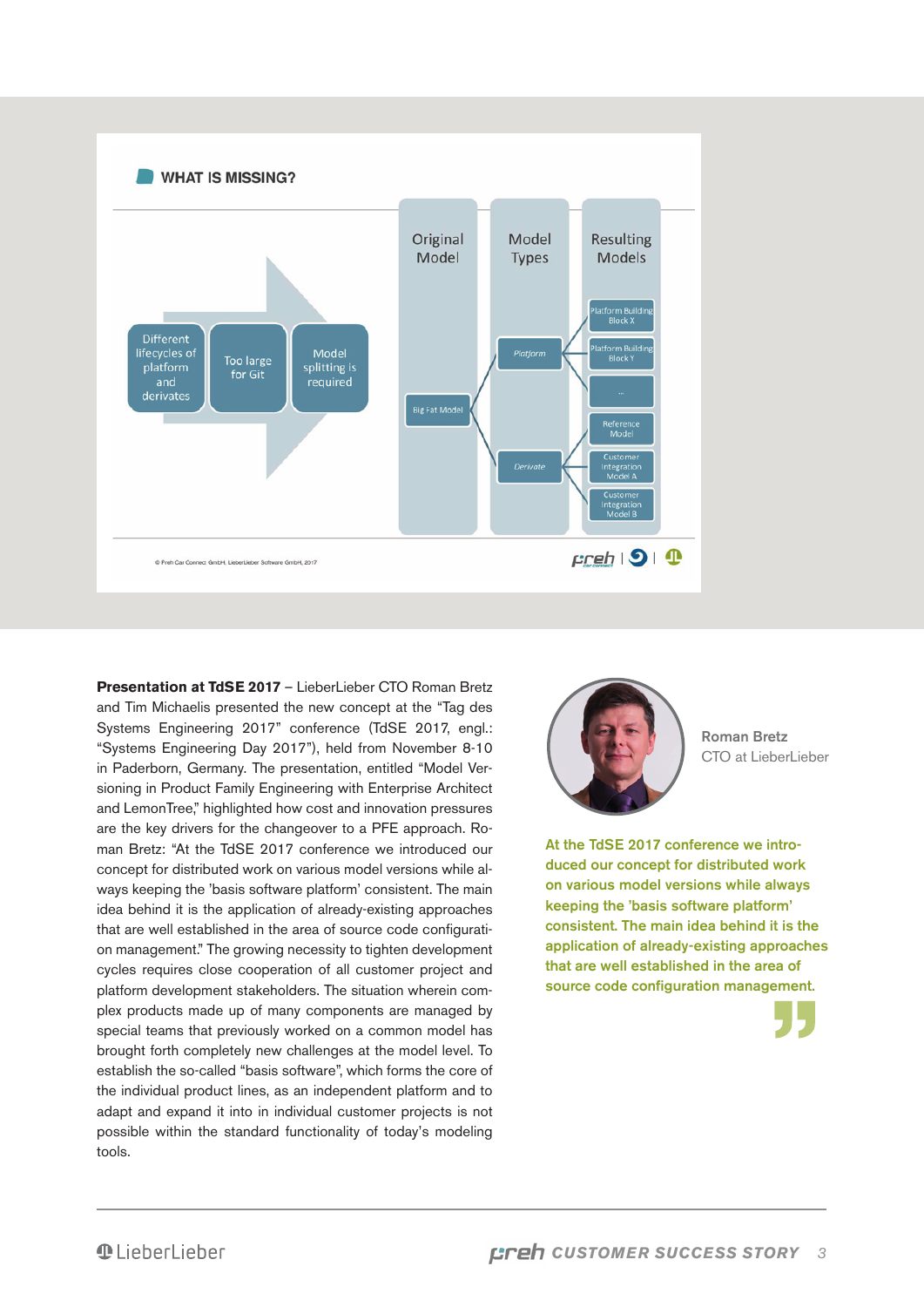

**Presentation at TdSE 2017** – LieberLieber CTO Roman Bretz and Tim Michaelis presented the new concept at the "Tag des Systems Engineering 2017" conference (TdSE 2017, engl.: "Systems Engineering Day 2017"), held from November 8-10 in Paderborn, Germany. The presentation, entitled "Model Versioning in Product Family Engineering with Enterprise Architect and LemonTree," highlighted how cost and innovation pressures are the key drivers for the changeover to a PFE approach. Roman Bretz: "At the TdSE 2017 conference we introduced our concept for distributed work on various model versions while always keeping the 'basis software platform' consistent. The main idea behind it is the application of already-existing approaches that are well established in the area of source code configuration management." The growing necessity to tighten development cycles requires close cooperation of all customer project and platform development stakeholders. The situation wherein complex products made up of many components are managed by special teams that previously worked on a common model has brought forth completely new challenges at the model level. To establish the so-called "basis software", which forms the core of the individual product lines, as an independent platform and to adapt and expand it into in individual customer projects is not possible within the standard functionality of today's modeling tools.



Roman Bretz CTO at LieberLieber

At the TdSE 2017 conference we introduced our concept for distributed work on various model versions while always keeping the 'basis software platform' consistent. The main idea behind it is the application of already-existing approaches that are well established in the area of source code configuration management.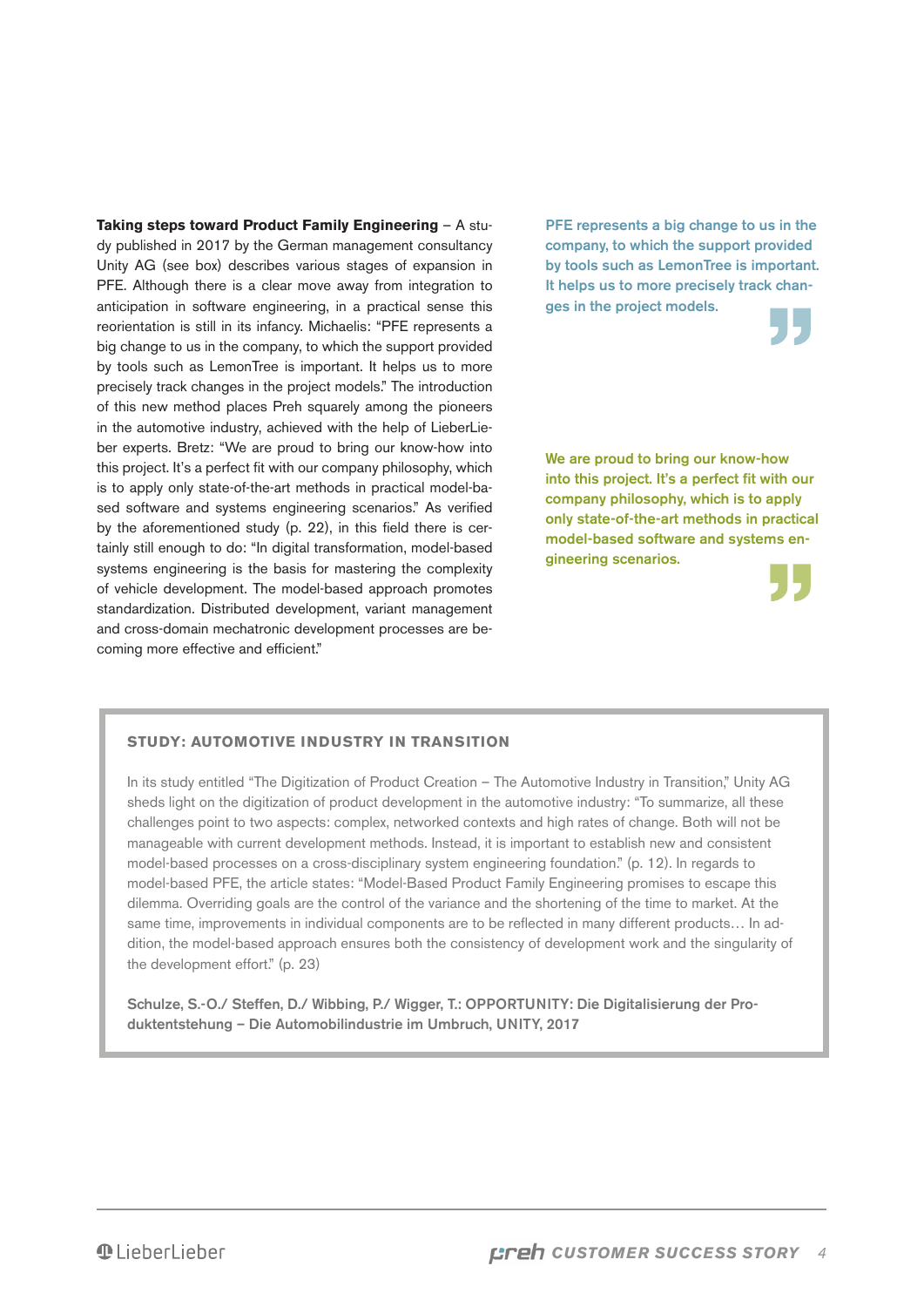**Taking steps toward Product Family Engineering** – A study published in 2017 by the German management consultancy Unity AG (see box) describes various stages of expansion in PFE. Although there is a clear move away from integration to anticipation in software engineering, in a practical sense this reorientation is still in its infancy. Michaelis: "PFE represents a big change to us in the company, to which the support provided by tools such as LemonTree is important. It helps us to more precisely track changes in the project models." The introduction of this new method places Preh squarely among the pioneers in the automotive industry, achieved with the help of LieberLieber experts. Bretz: "We are proud to bring our know-how into this project. It's a perfect fit with our company philosophy, which is to apply only state-of-the-art methods in practical model-based software and systems engineering scenarios." As verified by the aforementioned study (p. 22), in this field there is certainly still enough to do: "In digital transformation, model-based systems engineering is the basis for mastering the complexity of vehicle development. The model-based approach promotes standardization. Distributed development, variant management and cross-domain mechatronic development processes are becoming more effective and efficient."

PFE represents a big change to us in the company, to which the support provided by tools such as LemonTree is important. It helps us to more precisely track changes in the project models.

We are proud to bring our know-how into this project. It's a perfect fit with our company philosophy, which is to apply only state-of-the-art methods in practical model-based software and systems engineering scenarios.



### **Study: Automotive industry in transition**

In its study entitled "The Digitization of Product Creation – The Automotive Industry in Transition," Unity AG sheds light on the digitization of product development in the automotive industry: "To summarize, all these challenges point to two aspects: complex, networked contexts and high rates of change. Both will not be manageable with current development methods. Instead, it is important to establish new and consistent model-based processes on a cross-disciplinary system engineering foundation." (p. 12). In regards to model-based PFE, the article states: "Model-Based Product Family Engineering promises to escape this dilemma. Overriding goals are the control of the variance and the shortening of the time to market. At the same time, improvements in individual components are to be reflected in many different products… In addition, the model-based approach ensures both the consistency of development work and the singularity of the development effort." (p. 23)

Schulze, S.-O./ Steffen, D./ Wibbing, P./ Wigger, T.: OPPORTUNITY: Die Digitalisierung der Produktentstehung – Die Automobilindustrie im Umbruch, UNITY, 2017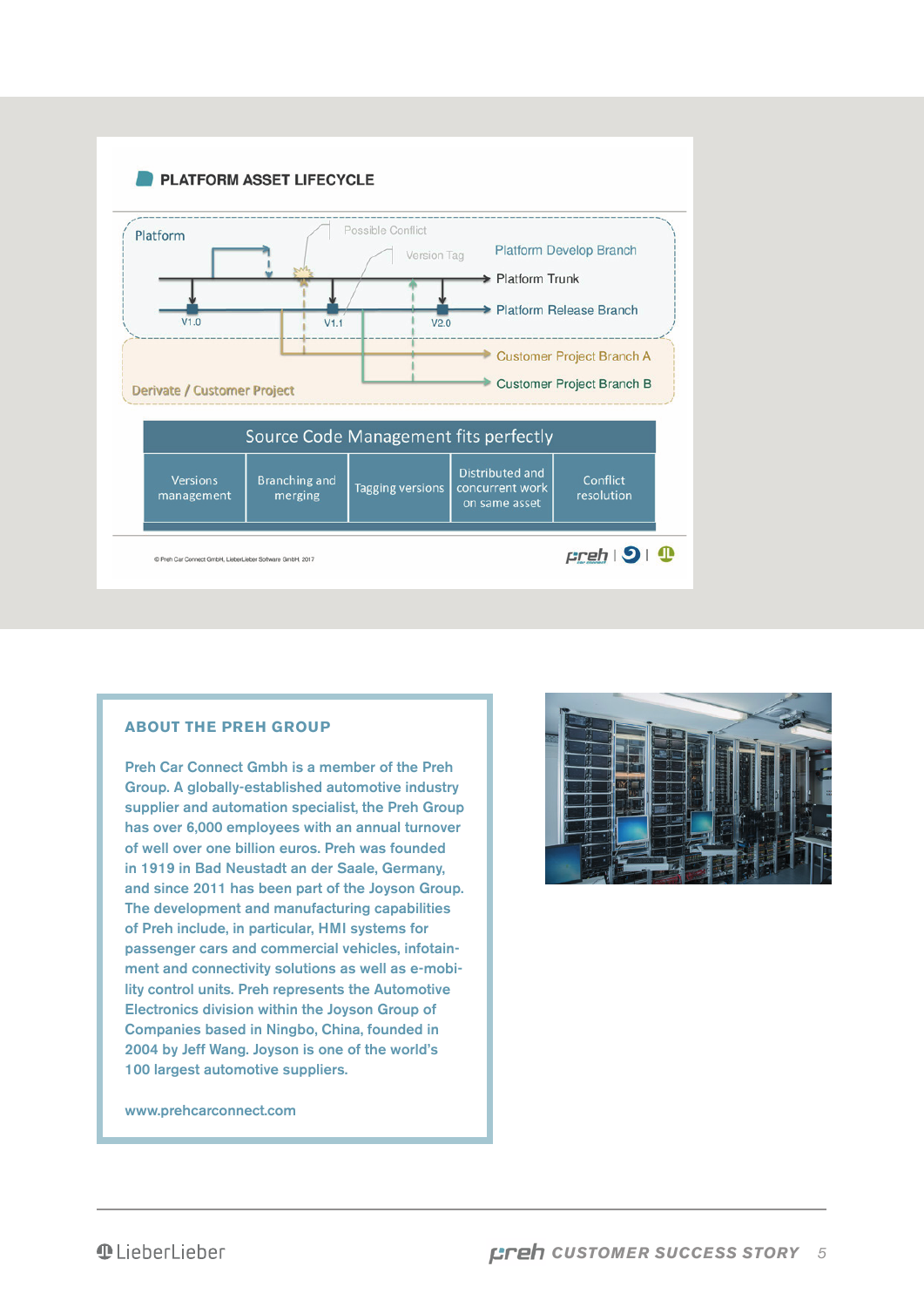

#### **About the Preh Group**

Preh Car Connect Gmbh is a member of the Preh Group. A globally-established automotive industry supplier and automation specialist, the Preh Group has over 6,000 employees with an annual turnover of well over one billion euros. Preh was founded in 1919 in Bad Neustadt an der Saale, Germany, and since 2011 has been part of the Joyson Group. The development and manufacturing capabilities of Preh include, in particular, HMI systems for passenger cars and commercial vehicles, infotainment and connectivity solutions as well as e-mobility control units. Preh represents the Automotive Electronics division within the Joyson Group of Companies based in Ningbo, China, founded in 2004 by Jeff Wang. Joyson is one of the world's 100 largest automotive suppliers.

www.prehcarconnect.com